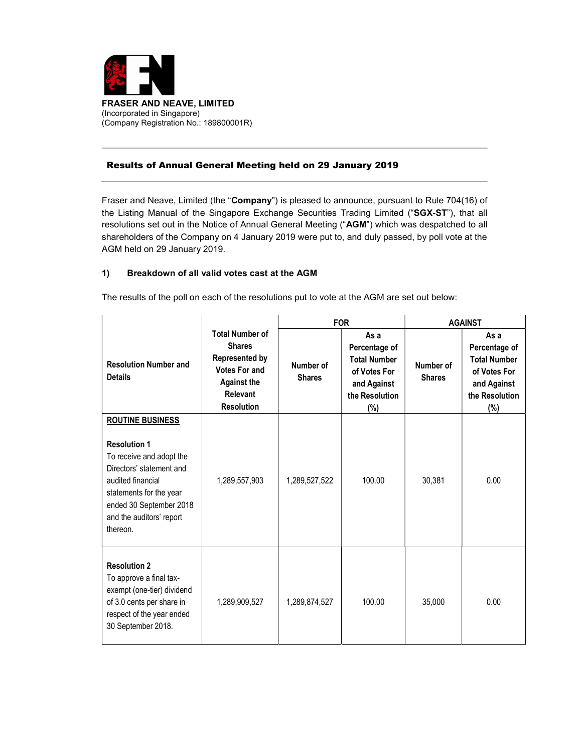

## Results of Annual General Meeting held on 29 January 2019

Fraser and Neave, Limited (the "Company") is pleased to announce, pursuant to Rule 704(16) of the Listing Manual of the Singapore Exchange Securities Trading Limited ("SGX-ST"), that all resolutions set out in the Notice of Annual General Meeting ("AGM") which was despatched to all shareholders of the Company on 4 January 2019 were put to, and duly passed, by poll vote at the AGM held on 29 January 2019.

## 1) Breakdown of all valid votes cast at the AGM

The results of the poll on each of the resolutions put to vote at the AGM are set out below:

|                                                                                                                                                                                                |                                                                                                                                                 |                            | <b>FOR</b>                                                                                           | <b>AGAINST</b>             |                                                                                                      |
|------------------------------------------------------------------------------------------------------------------------------------------------------------------------------------------------|-------------------------------------------------------------------------------------------------------------------------------------------------|----------------------------|------------------------------------------------------------------------------------------------------|----------------------------|------------------------------------------------------------------------------------------------------|
| <b>Resolution Number and</b><br><b>Details</b>                                                                                                                                                 | <b>Total Number of</b><br><b>Shares</b><br><b>Represented by</b><br><b>Votes For and</b><br><b>Against the</b><br>Relevant<br><b>Resolution</b> | Number of<br><b>Shares</b> | As a<br>Percentage of<br><b>Total Number</b><br>of Votes For<br>and Against<br>the Resolution<br>(%) | Number of<br><b>Shares</b> | As a<br>Percentage of<br><b>Total Number</b><br>of Votes For<br>and Against<br>the Resolution<br>(%) |
| <b>ROUTINE BUSINESS</b>                                                                                                                                                                        |                                                                                                                                                 |                            |                                                                                                      |                            |                                                                                                      |
| <b>Resolution 1</b><br>To receive and adopt the<br>Directors' statement and<br>audited financial<br>statements for the year<br>ended 30 September 2018<br>and the auditors' report<br>thereon. | 1,289,557,903                                                                                                                                   | 1,289,527,522              | 100.00                                                                                               | 30,381                     | 0.00                                                                                                 |
| <b>Resolution 2</b><br>To approve a final tax-<br>exempt (one-tier) dividend<br>of 3.0 cents per share in<br>respect of the year ended<br>30 September 2018.                                   | 1,289,909,527                                                                                                                                   | 1,289,874,527              | 100.00                                                                                               | 35,000                     | 0.00                                                                                                 |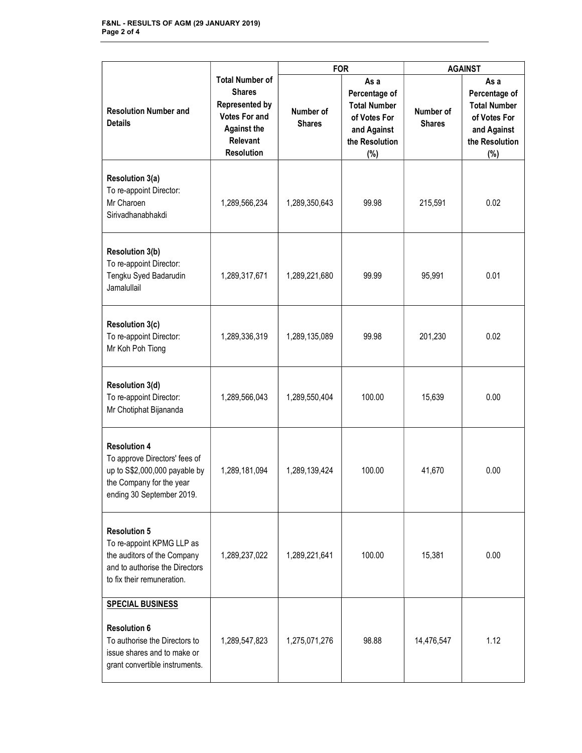|                                                                                                                                                  |                                                                                                                                                 | <b>FOR</b>                 |                                                                                                         | <b>AGAINST</b>             |                                                                                                      |
|--------------------------------------------------------------------------------------------------------------------------------------------------|-------------------------------------------------------------------------------------------------------------------------------------------------|----------------------------|---------------------------------------------------------------------------------------------------------|----------------------------|------------------------------------------------------------------------------------------------------|
| <b>Resolution Number and</b><br><b>Details</b>                                                                                                   | <b>Total Number of</b><br><b>Shares</b><br><b>Represented by</b><br><b>Votes For and</b><br><b>Against the</b><br>Relevant<br><b>Resolution</b> | Number of<br><b>Shares</b> | As a<br>Percentage of<br><b>Total Number</b><br>of Votes For<br>and Against<br>the Resolution<br>$(\%)$ | Number of<br><b>Shares</b> | As a<br>Percentage of<br><b>Total Number</b><br>of Votes For<br>and Against<br>the Resolution<br>(%) |
| Resolution 3(a)<br>To re-appoint Director:<br>Mr Charoen<br>Sirivadhanabhakdi                                                                    | 1,289,566,234                                                                                                                                   | 1,289,350,643              | 99.98                                                                                                   | 215,591                    | 0.02                                                                                                 |
| <b>Resolution 3(b)</b><br>To re-appoint Director:<br>Tengku Syed Badarudin<br>Jamalullail                                                        | 1,289,317,671                                                                                                                                   | 1,289,221,680              | 99.99                                                                                                   | 95,991                     | 0.01                                                                                                 |
| <b>Resolution 3(c)</b><br>To re-appoint Director:<br>Mr Koh Poh Tiong                                                                            | 1,289,336,319                                                                                                                                   | 1,289,135,089              | 99.98                                                                                                   | 201,230                    | 0.02                                                                                                 |
| <b>Resolution 3(d)</b><br>To re-appoint Director:<br>Mr Chotiphat Bijananda                                                                      | 1,289,566,043                                                                                                                                   | 1,289,550,404              | 100.00                                                                                                  | 15,639                     | 0.00                                                                                                 |
| <b>Resolution 4</b><br>To approve Directors' fees of<br>up to S\$2,000,000 payable by<br>the Company for the year<br>ending 30 September 2019.   | 1,289,181,094                                                                                                                                   | 1,289,139,424              | 100.00                                                                                                  | 41,670                     | 0.00                                                                                                 |
| <b>Resolution 5</b><br>To re-appoint KPMG LLP as<br>the auditors of the Company<br>and to authorise the Directors<br>to fix their remuneration.  | 1,289,237,022                                                                                                                                   | 1,289,221,641              | 100.00                                                                                                  | 15,381                     | 0.00                                                                                                 |
| <b>SPECIAL BUSINESS</b><br><b>Resolution 6</b><br>To authorise the Directors to<br>issue shares and to make or<br>grant convertible instruments. | 1,289,547,823                                                                                                                                   | 1,275,071,276              | 98.88                                                                                                   | 14,476,547                 | 1.12                                                                                                 |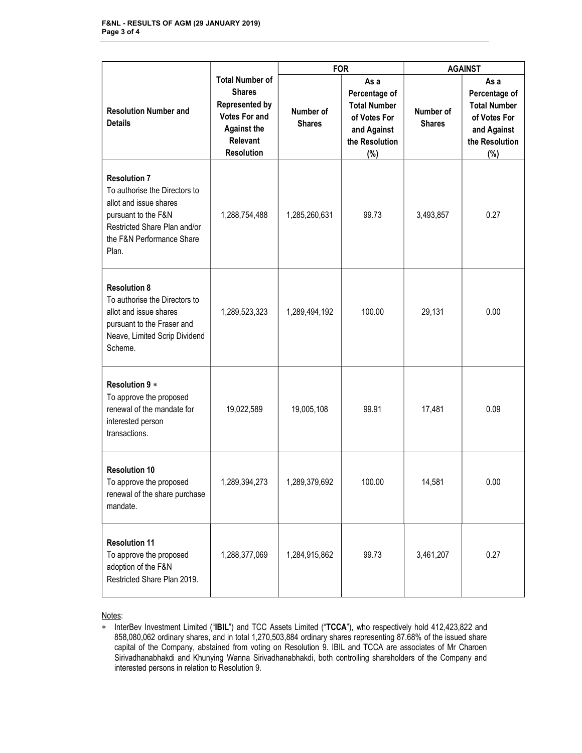|                                                                                                                                                                             |                                                                                                                                                 | <b>FOR</b>                 |                                                                                                      | <b>AGAINST</b>             |                                                                                                      |
|-----------------------------------------------------------------------------------------------------------------------------------------------------------------------------|-------------------------------------------------------------------------------------------------------------------------------------------------|----------------------------|------------------------------------------------------------------------------------------------------|----------------------------|------------------------------------------------------------------------------------------------------|
| <b>Resolution Number and</b><br><b>Details</b>                                                                                                                              | <b>Total Number of</b><br><b>Shares</b><br><b>Represented by</b><br><b>Votes For and</b><br><b>Against the</b><br>Relevant<br><b>Resolution</b> | Number of<br><b>Shares</b> | As a<br>Percentage of<br><b>Total Number</b><br>of Votes For<br>and Against<br>the Resolution<br>(%) | Number of<br><b>Shares</b> | As a<br>Percentage of<br><b>Total Number</b><br>of Votes For<br>and Against<br>the Resolution<br>(%) |
| <b>Resolution 7</b><br>To authorise the Directors to<br>allot and issue shares<br>pursuant to the F&N<br>Restricted Share Plan and/or<br>the F&N Performance Share<br>Plan. | 1,288,754,488                                                                                                                                   | 1,285,260,631              | 99.73                                                                                                | 3,493,857                  | 0.27                                                                                                 |
| <b>Resolution 8</b><br>To authorise the Directors to<br>allot and issue shares<br>pursuant to the Fraser and<br>Neave, Limited Scrip Dividend<br>Scheme.                    | 1,289,523,323                                                                                                                                   | 1,289,494,192              | 100.00                                                                                               | 29,131                     | 0.00                                                                                                 |
| Resolution 9 *<br>To approve the proposed<br>renewal of the mandate for<br>interested person<br>transactions.                                                               | 19,022,589                                                                                                                                      | 19,005,108                 | 99.91                                                                                                | 17,481                     | 0.09                                                                                                 |
| <b>Resolution 10</b><br>To approve the proposed<br>renewal of the share purchase<br>mandate.                                                                                | 1,289,394,273                                                                                                                                   | 1,289,379,692              | 100.00                                                                                               | 14,581                     | 0.00                                                                                                 |
| <b>Resolution 11</b><br>To approve the proposed<br>adoption of the F&N<br>Restricted Share Plan 2019.                                                                       | 1,288,377,069                                                                                                                                   | 1,284,915,862              | 99.73                                                                                                | 3,461,207                  | 0.27                                                                                                 |

Notes:

<sup>\*</sup> InterBev Investment Limited ("IBIL") and TCC Assets Limited ("TCCA"), who respectively hold 412,423,822 and 858,080,062 ordinary shares, and in total 1,270,503,884 ordinary shares representing 87.68% of the issued share capital of the Company, abstained from voting on Resolution 9. IBIL and TCCA are associates of Mr Charoen Sirivadhanabhakdi and Khunying Wanna Sirivadhanabhakdi, both controlling shareholders of the Company and interested persons in relation to Resolution 9.